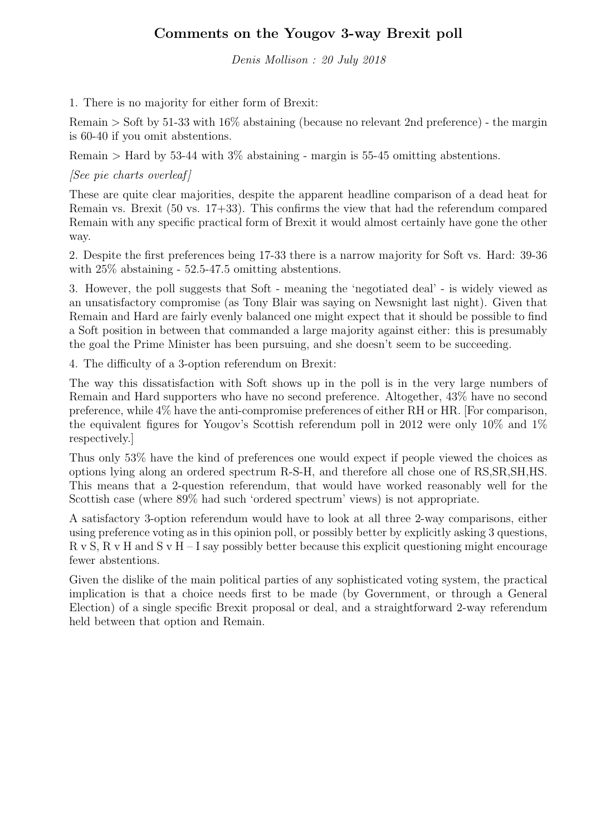## Comments on the Yougov 3-way Brexit poll

Denis Mollison : 20 July 2018

1. There is no majority for either form of Brexit:

Remain > Soft by 51-33 with 16% abstaining (because no relevant 2nd preference) - the margin is 60-40 if you omit abstentions.

Remain > Hard by 53-44 with 3% abstaining - margin is 55-45 omitting abstentions.

 $[See\,\,pie\,\, charts\,\,over]$ 

These are quite clear majorities, despite the apparent headline comparison of a dead heat for Remain vs. Brexit (50 vs. 17+33). This confirms the view that had the referendum compared Remain with any specific practical form of Brexit it would almost certainly have gone the other way.

2. Despite the first preferences being 17-33 there is a narrow majority for Soft vs. Hard: 39-36 with 25% abstaining - 52.5-47.5 omitting abstentions.

3. However, the poll suggests that Soft - meaning the 'negotiated deal' - is widely viewed as an unsatisfactory compromise (as Tony Blair was saying on Newsnight last night). Given that Remain and Hard are fairly evenly balanced one might expect that it should be possible to find a Soft position in between that commanded a large majority against either: this is presumably the goal the Prime Minister has been pursuing, and she doesn't seem to be succeeding.

4. The difficulty of a 3-option referendum on Brexit:

The way this dissatisfaction with Soft shows up in the poll is in the very large numbers of Remain and Hard supporters who have no second preference. Altogether, 43% have no second preference, while 4% have the anti-compromise preferences of either RH or HR. [For comparison, the equivalent figures for Yougov's Scottish referendum poll in 2012 were only 10% and 1% respectively.]

Thus only 53% have the kind of preferences one would expect if people viewed the choices as options lying along an ordered spectrum R-S-H, and therefore all chose one of RS,SR,SH,HS. This means that a 2-question referendum, that would have worked reasonably well for the Scottish case (where 89% had such 'ordered spectrum' views) is not appropriate.

A satisfactory 3-option referendum would have to look at all three 2-way comparisons, either using preference voting as in this opinion poll, or possibly better by explicitly asking 3 questions,  $R$  v S,  $R$  v H and S v H – I say possibly better because this explicit questioning might encourage fewer abstentions.

Given the dislike of the main political parties of any sophisticated voting system, the practical implication is that a choice needs first to be made (by Government, or through a General Election) of a single specific Brexit proposal or deal, and a straightforward 2-way referendum held between that option and Remain.